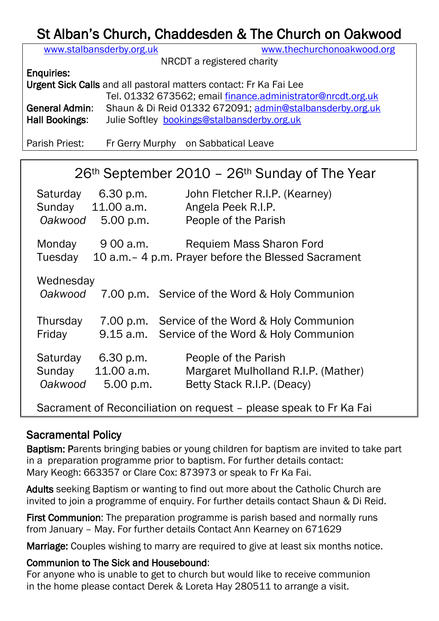# St Alban's Church, Chaddesden & The Church on Oakwood

| www.stalbansderby.org.uk                                          |                                                             | www.thechurchonoakwood.org |  |  |
|-------------------------------------------------------------------|-------------------------------------------------------------|----------------------------|--|--|
| NRCDT a registered charity                                        |                                                             |                            |  |  |
| <b>Enquiries:</b>                                                 |                                                             |                            |  |  |
| Urgent Sick Calls and all pastoral matters contact: Fr Ka Fai Lee |                                                             |                            |  |  |
|                                                                   | Tel. 01332 673562; email finance.administrator@nrcdt.org.uk |                            |  |  |
| General Admin:                                                    | Shaun & Di Reid 01332 672091; admin@stalbansderby.org.uk    |                            |  |  |
| Hall Bookings:                                                    | Julie Softley bookings@stalbansderby.org.uk                 |                            |  |  |
|                                                                   |                                                             |                            |  |  |

Parish Priest: Fr Gerry Murphy on Sabbatical Leave

| $26th$ September 2010 – 26 <sup>th</sup> Sunday of The Year           |                                                                                                  |  |  |  |
|-----------------------------------------------------------------------|--------------------------------------------------------------------------------------------------|--|--|--|
| 6.30 p.m.<br>Saturday<br>Sunday 11.00 a.m.<br>Oakwood<br>5.00 p.m.    | John Fletcher R.I.P. (Kearney)<br>Angela Peek R.I.P.<br>People of the Parish                     |  |  |  |
| 9 00 a.m.<br>Monday<br>Tuesday                                        | <b>Requiem Mass Sharon Ford</b><br>10 a.m. - 4 p.m. Prayer before the Blessed Sacrament          |  |  |  |
| Wednesday<br>Oakwood                                                  | 7.00 p.m. Service of the Word & Holy Communion                                                   |  |  |  |
| Thursday<br>Friday                                                    | 7.00 p.m. Service of the Word & Holy Communion<br>9.15 a.m. Service of the Word & Holy Communion |  |  |  |
| Saturday<br>6.30 p.m.<br>11.00 a.m.<br>Sunday<br>Oakwood<br>5.00 p.m. | People of the Parish<br>Margaret Mulholland R.I.P. (Mather)<br>Betty Stack R.I.P. (Deacy)        |  |  |  |
| Sacrament of Reconciliation on request – please speak to Fr Ka Fai    |                                                                                                  |  |  |  |

### Sacramental Policy

Baptism: Parents bringing babies or young children for baptism are invited to take part in a preparation programme prior to baptism. For further details contact: Mary Keogh: 663357 or Clare Cox: 873973 or speak to Fr Ka Fai.

Adults seeking Baptism or wanting to find out more about the Catholic Church are invited to join a programme of enquiry. For further details contact Shaun & Di Reid.

First Communion: The preparation programme is parish based and normally runs from January – May. For further details Contact Ann Kearney on 671629

Marriage: Couples wishing to marry are required to give at least six months notice.

### Communion to The Sick and Housebound:

For anyone who is unable to get to church but would like to receive communion in the home please contact Derek & Loreta Hay 280511 to arrange a visit.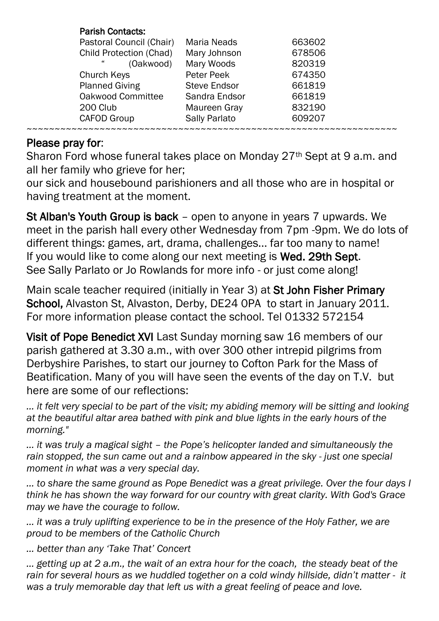| <b>Parish Contacts:</b>  |                     |        |
|--------------------------|---------------------|--------|
| Pastoral Council (Chair) | <b>Maria Neads</b>  | 663602 |
| Child Protection (Chad)  | Mary Johnson        | 678506 |
| 44<br>(Oakwood)          | Mary Woods          | 820319 |
| Church Keys              | Peter Peek          | 674350 |
| <b>Planned Giving</b>    | <b>Steve Endsor</b> | 661819 |
| Oakwood Committee        | Sandra Endsor       | 661819 |
| 200 Club                 | Maureen Gray        | 832190 |
| <b>CAFOD Group</b>       | Sally Parlato       | 609207 |
|                          |                     |        |

### Please pray for:

Sharon Ford whose funeral takes place on Monday 27<sup>th</sup> Sept at 9 a.m. and all her family who grieve for her;

our sick and housebound parishioners and all those who are in hospital or having treatment at the moment.

St Alban's Youth Group is back – open to anyone in years 7 upwards. We meet in the parish hall every other Wednesday from 7pm -9pm. We do lots of different things: games, art, drama, challenges... far too many to name! If you would like to come along our next meeting is Wed. 29th Sept. See Sally Parlato or Jo Rowlands for more info - or just come along!

Main scale teacher required (initially in Year 3) at St John Fisher Primary School, Alvaston St, Alvaston, Derby, DE24 OPA to start in January 2011. For more information please contact the school. Tel 01332 572154

Visit of Pope Benedict XVI Last Sunday morning saw 16 members of our parish gathered at 3.30 a.m., with over 300 other intrepid pilgrims from Derbyshire Parishes, to start our journey to Cofton Park for the Mass of Beatification. Many of you will have seen the events of the day on T.V. but here are some of our reflections:

*… it felt very special to be part of the visit; my abiding memory will be sitting and looking at the beautiful altar area bathed with pink and blue lights in the early hours of the morning."*

*… it was truly a magical sight – the Pope's helicopter landed and simultaneously the rain stopped, the sun came out and a rainbow appeared in the sky - just one special moment in what was a very special day.*

*… to share the same ground as Pope Benedict was a great privilege. Over the four days I think he has shown the way forward for our country with great clarity. With God's Grace may we have the courage to follow.*

*… it was a truly uplifting experience to be in the presence of the Holy Father, we are proud to be members of the Catholic Church* 

*… better than any 'Take That' Concert*

*… getting up at 2 a.m., the wait of an extra hour for the coach, the steady beat of the rain for several hours as we huddled together on a cold windy hillside, didn't matter - it was a truly memorable day that left us with a great feeling of peace and love.*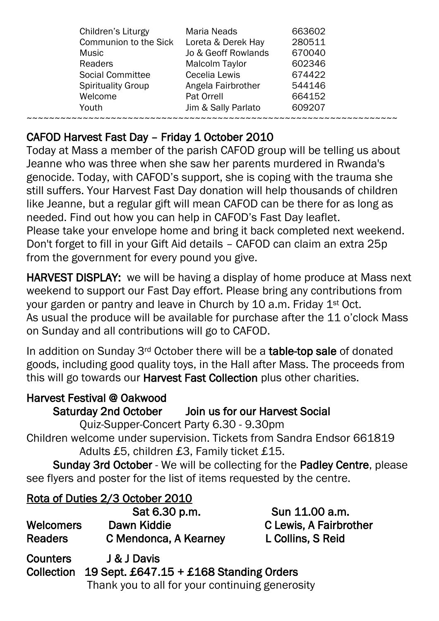| Children's Liturgy        | <b>Maria Neads</b>  | 663602 |
|---------------------------|---------------------|--------|
| Communion to the Sick     | Loreta & Derek Hay  | 280511 |
| Music                     | Jo & Geoff Rowlands | 670040 |
| <b>Readers</b>            | Malcolm Taylor      | 602346 |
| <b>Social Committee</b>   | Cecelia Lewis       | 674422 |
| <b>Spirituality Group</b> | Angela Fairbrother  | 544146 |
| Welcome                   | Pat Orrell          | 664152 |
| Youth                     | Jim & Sally Parlato | 609207 |
|                           |                     |        |

## CAFOD Harvest Fast Day – Friday 1 October 2010

Today at Mass a member of the parish CAFOD group will be telling us about Jeanne who was three when she saw her parents murdered in Rwanda's genocide. Today, with CAFOD's support, she is coping with the trauma she still suffers. Your Harvest Fast Day donation will help thousands of children like Jeanne, but a regular gift will mean CAFOD can be there for as long as needed. Find out how you can help in CAFOD's Fast Day leaflet. Please take your envelope home and bring it back completed next weekend. Don't forget to fill in your Gift Aid details – CAFOD can claim an extra 25p from the government for every pound you give.

HARVEST DISPLAY: we will be having a display of home produce at Mass next weekend to support our Fast Day effort. Please bring any contributions from your garden or pantry and leave in Church by 10 a.m. Friday 1<sup>st</sup> Oct. As usual the produce will be available for purchase after the 11 o'clock Mass on Sunday and all contributions will go to CAFOD.

In addition on Sunday 3rd October there will be a table-top sale of donated goods, including good quality toys, in the Hall after Mass. The proceeds from this will go towards our **Harvest Fast Collection** plus other charities.

## Harvest Festival @ Oakwood

# Saturday 2nd October Join us for our Harvest Social

Quiz-Supper-Concert Party 6.30 - 9.30pm

Children welcome under supervision. Tickets from Sandra Endsor 661819 Adults £5, children £3, Family ticket £15.

 Sunday 3rd October - We will be collecting for the Padley Centre, please see flyers and poster for the list of items requested by the centre.

# Rota of Duties 2/3 October 2010

|                  | Sat 6.30 p.m.         |
|------------------|-----------------------|
| <b>Welcomers</b> | Dawn Kiddie           |
| <b>Readers</b>   | C Mendonca, A Kearney |

Sun 11.00 a.m. C Lewis, A Fairbrother L Collins, S Reid

Counters J & J Davis Collection 19 Sept. £647.15 + £168 Standing Orders Thank you to all for your continuing generosity